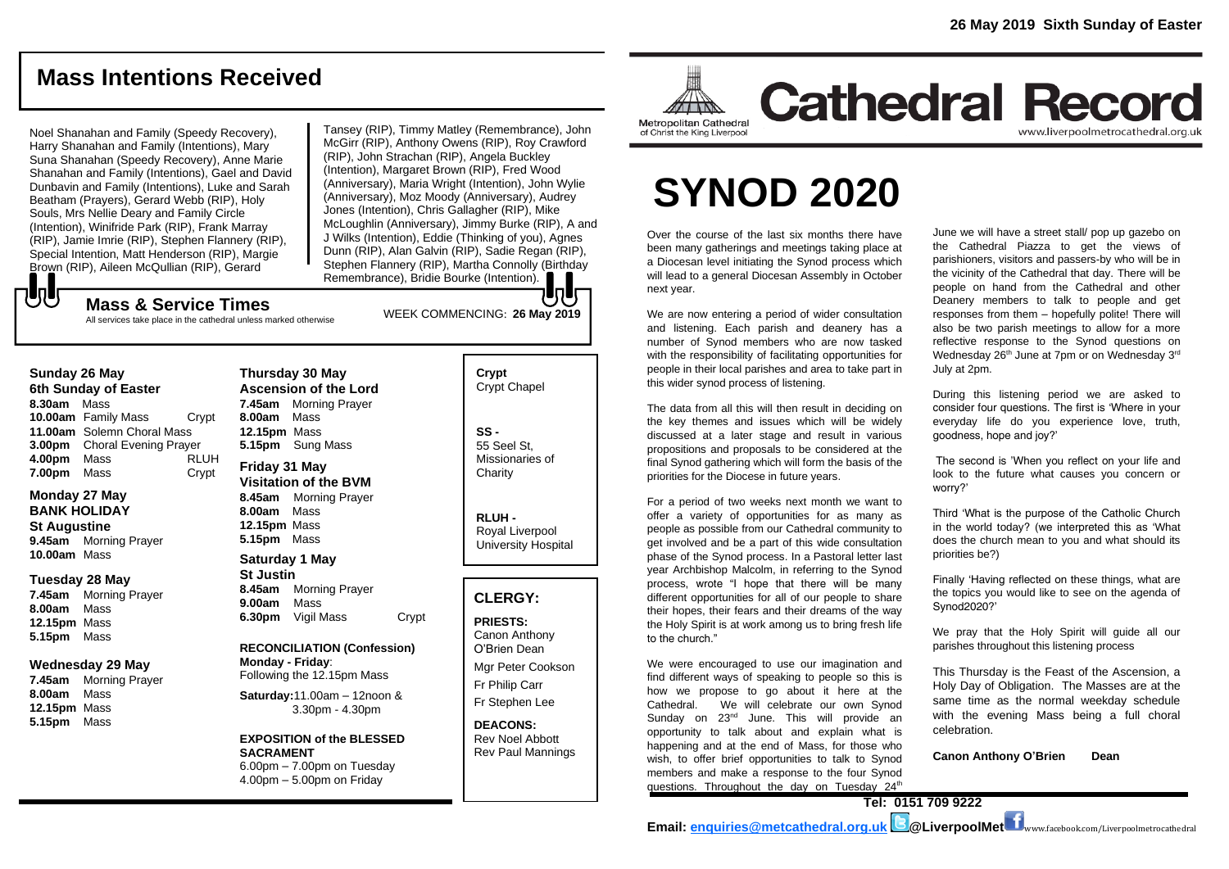# **Mass Intentions Received**

Noel Shanahan and Family (Speedy Recovery), Harry Shanahan and Family (Intentions), Mary Suna Shanahan (Speedy Recovery), Anne Marie Shanahan and Family (Intentions), Gael and David Dunbavin and Family (Intentions), Luke and Sarah Beatham (Prayers), Gerard Webb (RIP), Holy Souls, Mrs Nellie Deary and Family Circle (Intention), Winifride Park (RIP), Frank Marray (RIP), Jamie Imrie (RIP), Stephen Flannery (RIP), Special Intention, Matt Henderson (RIP), Margie Brown (RIP), Aileen McQullian (RIP), Gerard

Tansey (RIP), Timmy Matley (Remembrance), John McGirr (RIP), Anthony Owens (RIP), Roy Crawford (RIP), John Strachan (RIP), Angela Buckley (Intention), Margaret Brown (RIP), Fred Wood (Anniversary), Maria Wright (Intention), John Wylie (Anniversary), Moz Moody (Anniversary), Audrey Jones (Intention), Chris Gallagher (RIP), Mike McLoughlin (Anniversary), Jimmy Burke (RIP), A and J Wilks (Intention), Eddie (Thinking of you), Agnes Dunn (RIP), Alan Galvin (RIP), Sadie Regan (RIP), Stephen Flannery (RIP), Martha Connolly (Birthday Remembrance), Bridie Bourke (Intention).

WEEK COMMENCING: **26 May 2019**

### もし **Mass & Service Times**

All services take place in the cathedral unless marked otherwise

### **Sunday 26 May**

**6th Sunday of Easter 8.30am** Mass **10.00am** Family Mass Crypt **11.00am** Solemn Choral Mass **3.00pm** Choral Evening Prayer **4.00pm** Mass RLUH **7.00pm** Mass Crypt

### **Monday 27 May BANK HOLIDAY**

**St Augustine 9.45am** Morning Prayer **10.00am** Mass

### **Tuesday 28 May**

**7.45am** Morning Prayer **8.00am** Mass **12.15pm** Mass **5.15pm** Mass

### **Wednesday 29 May**

**7.45am** Morning Prayer **8.00am** Mass **12.15pm** Mass **5.15pm** Mass

**Thursday 30 May Ascension of the Lord 7.45am** Morning Prayer **8.00am** Mass **12.15pm** Mass **5.15pm** Sung Mass **Friday 31 May**

**Visitation of the BVM 8.45am** Morning Prayer **8.00am** Mass **12.15pm** Mass **5.15pm** Mass **Saturday 1 May**

### **St Justin**

**8.45am** Morning Prayer **9.00am** Mass **6.30pm** Vigil Mass Crypt

### **RECONCILIATION (Confession) Monday - Friday**:

Following the 12.15pm Mass

**Saturday:**11.00am – 12noon & 3.30pm - 4.30pm

#### **EXPOSITION of the BLESSED SACRAMENT** 6.00pm – 7.00pm on Tuesday

4.00pm – 5.00pm on Friday

# **Crypt**  Crypt Chapel

**SS -** 55 Seel St, Missionaries of **Charity** 

**RLUH -** Royal Liverpool University Hospital

### **CLERGY:**

**PRIESTS:** Canon Anthony O'Brien *Dean* Mgr Peter Cookson

Fr Philip Carr Fr Stephen Lee

**DEACONS:** Rev Noel Abbott Rev Paul Mannings



# **Cathedral Record** www.liverpoolmetrocathedral.org.uk

# **SYNOD 2020**

Over the course of the last six months there have been many gatherings and meetings taking place at a Diocesan level initiating the Synod process which will lead to a general Diocesan Assembly in October next year.

We are now entering a period of wider consultation and listening. Each parish and deanery has a number of Synod members who are now tasked with the responsibility of facilitating opportunities for people in their local parishes and area to take part in this wider synod process of listening.

The data from all this will then result in deciding on the key themes and issues which will be widely discussed at a later stage and result in various propositions and proposals to be considered at the final Synod gathering which will form the basis of the priorities for the Diocese in future years.

For a period of two weeks next month we want to offer a variety of opportunities for as many as people as possible from our Cathedral community to get involved and be a part of this wide consultation phase of the Synod process. In a Pastoral letter last year Archbishop Malcolm, in referring to the Synod process, wrote "I hope that there will be many different opportunities for all of our people to share their hopes, their fears and their dreams of the way the Holy Spirit is at work among us to bring fresh life to the church."

We were encouraged to use our imagination and find different ways of speaking to people so this is how we propose to go about it here at the Cathedral. We will celebrate our own Synod Sunday on 23<sup>nd</sup> June. This will provide an opportunity to talk about and explain what is happening and at the end of Mass, for those who wish, to offer brief opportunities to talk to Synod members and make a response to the four Synod questions. Throughout the day on Tuesday 24<sup>th</sup>

June we will have a street stall/ pop up gazebo on the Cathedral Piazza to get the views of parishioners, visitors and passers-by who will be in the vicinity of the Cathedral that day. There will be people on hand from the Cathedral and other Deanery members to talk to people and get responses from them – hopefully polite! There will also be two parish meetings to allow for a more reflective response to the Synod questions on Wednesday 26<sup>th</sup> June at 7pm or on Wednesday 3<sup>rd</sup> July at 2pm.

During this listening period we are asked to consider four questions. The first is 'Where in your everyday life do you experience love, truth, goodness, hope and joy?'

The second is 'When you reflect on your life and look to the future what causes you concern or worry?'

Third 'What is the purpose of the Catholic Church in the world today? (we interpreted this as 'What does the church mean to you and what should its priorities be?)

Finally 'Having reflected on these things, what are the topics you would like to see on the agenda of Synod2020?'

We pray that the Holy Spirit will guide all our parishes throughout this listening process

This Thursday is the Feast of the Ascension, a Holy Day of Obligation. The Masses are at the same time as the normal weekday schedule with the evening Mass being a full choral celebration.

**Canon Anthony O'Brien Dean**